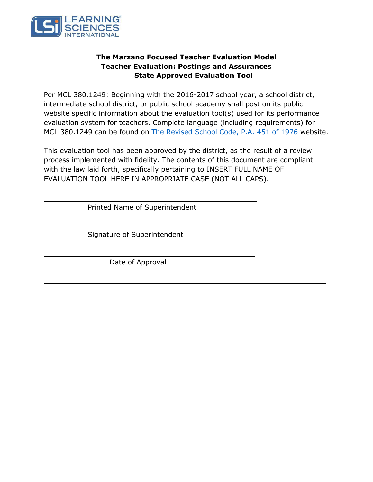

# **The Marzano Focused Teacher Evaluation Model Teacher Evaluation: Postings and Assurances State Approved Evaluation Tool**

Per MCL 380.1249: Beginning with the 2016-2017 school year, a school district, intermediate school district, or public school academy shall post on its public website specific information about the evaluation tool(s) used for its performance evaluation system for teachers. Complete language (including requirements) for MCL 380.1249 can be found on [The Revised School Code, P.A.](http://www.legislature.mi.gov/(S(32tvwj0iraifdaezo3vyv3uy))/mileg.aspx?page=getObject&objectName=mcl-380-1249) 451 of 1976 website.

This evaluation tool has been approved by the district, as the result of a review process implemented with fidelity. The contents of this document are compliant with the law laid forth, specifically pertaining to INSERT FULL NAME OF EVALUATION TOOL HERE IN APPROPRIATE CASE (NOT ALL CAPS).

Printed Name of Superintendent

Signature of Superintendent

Date of Approval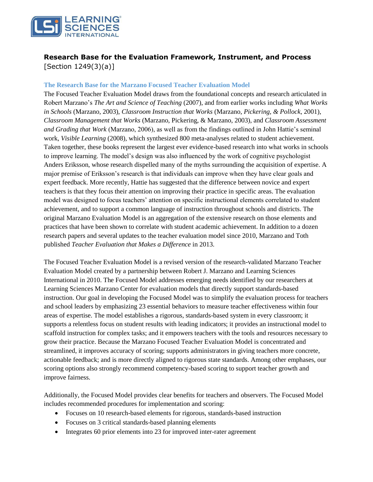

# **Research Base for the Evaluation Framework, Instrument, and Process**  [Section 1249(3)(a)]

#### **The Research Base for the Marzano Focused Teacher Evaluation Model**

The Focused Teacher Evaluation Model draws from the foundational concepts and research articulated in Robert Marzano's *The Art and Science of Teaching* (2007), and from earlier works including *What Works in Schools* (Marzano, 2003), *Classroom Instruction that Works* (Marzano, *Pickering, & Pollock*, 2001), *Classroom Management that Works* (Marzano, Pickering, & Marzano, 2003), and *Classroom Assessment and Grading that Work* (Marzano, 2006), as well as from the findings outlined in John Hattie's seminal work, *Visible Learning* (2008), which synthesized 800 meta-analyses related to student achievement. Taken together, these books represent the largest ever evidence-based research into what works in schools to improve learning. The model's design was also influenced by the work of cognitive psychologist Anders Eriksson, whose research dispelled many of the myths surrounding the acquisition of expertise. A major premise of Eriksson's research is that individuals can improve when they have clear goals and expert feedback. More recently, Hattie has suggested that the difference between novice and expert teachers is that they focus their attention on improving their practice in specific areas. The evaluation model was designed to focus teachers' attention on specific instructional elements correlated to student achievement, and to support a common language of instruction throughout schools and districts. The original Marzano Evaluation Model is an aggregation of the extensive research on those elements and practices that have been shown to correlate with student academic achievement. In addition to a dozen research papers and several updates to the teacher evaluation model since 2010, Marzano and Toth published *Teacher Evaluation that Makes a Difference* in 2013.

The Focused Teacher Evaluation Model is a revised version of the research-validated Marzano Teacher Evaluation Model created by a partnership between Robert J. Marzano and Learning Sciences International in 2010. The Focused Model addresses emerging needs identified by our researchers at Learning Sciences Marzano Center for evaluation models that directly support standards-based instruction. Our goal in developing the Focused Model was to simplify the evaluation process for teachers and school leaders by emphasizing 23 essential behaviors to measure teacher effectiveness within four areas of expertise. The model establishes a rigorous, standards-based system in every classroom; it supports a relentless focus on student results with leading indicators; it provides an instructional model to scaffold instruction for complex tasks; and it empowers teachers with the tools and resources necessary to grow their practice. Because the Marzano Focused Teacher Evaluation Model is concentrated and streamlined, it improves accuracy of scoring; supports administrators in giving teachers more concrete, actionable feedback; and is more directly aligned to rigorous state standards. Among other emphases, our scoring options also strongly recommend competency-based scoring to support teacher growth and improve fairness.

Additionally, the Focused Model provides clear benefits for teachers and observers. The Focused Model includes recommended procedures for implementation and scoring:

- Focuses on 10 research-based elements for rigorous, standards-based instruction
- Focuses on 3 critical standards-based planning elements
- Integrates 60 prior elements into 23 for improved inter-rater agreement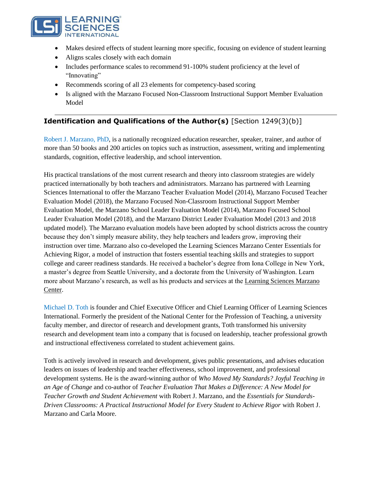

- Makes desired effects of student learning more specific, focusing on evidence of student learning
- Aligns scales closely with each domain
- Includes performance scales to recommend 91-100% student proficiency at the level of "Innovating"
- Recommends scoring of all 23 elements for competency-based scoring
- Is aligned with the Marzano Focused Non-Classroom Instructional Support Member Evaluation Model

# **Identification and Qualifications of the Author(s)** [Section 1249(3)(b)]

Robert J. Marzano, PhD, is a nationally recognized education researcher, speaker, trainer, and author of more than 50 books and 200 articles on topics such as instruction, assessment, writing and implementing standards, cognition, effective leadership, and school intervention.

His practical translations of the most current research and theory into classroom strategies are widely practiced internationally by both teachers and administrators. Marzano has partnered with Learning Sciences International to offer the Marzano Teacher Evaluation Model (2014), Marzano Focused Teacher Evaluation Model (2018), the Marzano Focused Non-Classroom Instructional Support Member Evaluation Model, the Marzano School Leader Evaluation Model (2014), Marzano Focused School Leader Evaluation Model (2018), and the Marzano District Leader Evaluation Model (2013 and 2018 updated model). The Marzano evaluation models have been adopted by school districts across the country because they don't simply measure ability, they help teachers and leaders grow, improving their instruction over time. Marzano also co-developed the Learning Sciences Marzano Center Essentials for Achieving Rigor, a model of instruction that fosters essential teaching skills and strategies to support college and career readiness standards. He received a bachelor's degree from Iona College in New York, a master's degree from Seattle University, and a doctorate from the University of Washington. Learn more about Marzano's research, as well as his products and services at the [Learning Sciences Marzano](http://www.marzanocenter.com/) [Center.](http://www.marzanocenter.com/)

Michael D. Toth is founder and Chief Executive Officer and Chief Learning Officer of Learning Sciences International. Formerly the president of the National Center for the Profession of Teaching, a university faculty member, and director of research and development grants, Toth transformed his university research and development team into a company that is focused on leadership, teacher professional growth and instructional effectiveness correlated to student achievement gains.

Toth is actively involved in research and development, gives public presentations, and advises education leaders on issues of leadership and teacher effectiveness, school improvement, and professional development systems. He is the award-winning author of *[Who Moved My Standards? Joyful Teaching in](https://www.learningsciences.com/who-moved-my-standards-joyful-teaching-in-an-age-of-change) [an Age of Change](https://www.learningsciences.com/who-moved-my-standards-joyful-teaching-in-an-age-of-change)* and co-author of *[Teacher Evaluation That Makes a Difference: A New Model for](https://www.learningsciences.com/authors/michael-toth/teacher-evaluation-that-makes-a-difference) [Teacher Growth and Student Achievement](https://www.learningsciences.com/authors/michael-toth/teacher-evaluation-that-makes-a-difference)* with Robert J. Marzano, and the *[Essentials for Standards-](https://www.learningsciences.com/authors/michael-toth/the-essentials-for-standards-driven-classrooms)[Driven Classrooms: A Practical Instructional Model for Every Student to Achieve Rigor](https://www.learningsciences.com/authors/michael-toth/the-essentials-for-standards-driven-classrooms)* with Robert J. Marzano and Carla Moore.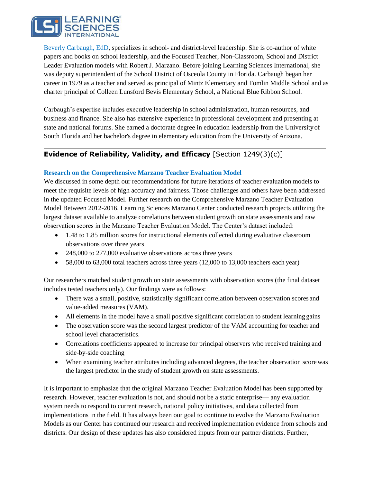

Beverly Carbaugh, EdD, specializes in school- and district-level leadership. She is co-author of white papers and books on school leadership, and the Focused Teacher, Non-Classroom, School and District Leader Evaluation models with Robert J. Marzano. Before joining Learning Sciences International, she was deputy superintendent of the School District of Osceola County in Florida. Carbaugh began her career in 1979 as a teacher and served as principal of Mintz Elementary and Tomlin Middle School and as charter principal of Colleen Lunsford Bevis Elementary School, a National Blue Ribbon School.

Carbaugh's expertise includes executive leadership in school administration, human resources, and business and finance. She also has extensive experience in professional development and presenting at state and national forums. She earned a doctorate degree in education leadership from the Universityof South Florida and her bachelor's degree in elementary education from the University of Arizona.

# **Evidence of Reliability, Validity, and Efficacy** [Section 1249(3)(c)]

## **Research on the Comprehensive Marzano Teacher Evaluation Model**

We discussed in some depth our recommendations for future iterations of teacher evaluation models to meet the requisite levels of high accuracy and fairness. Those challenges and others have been addressed in the updated Focused Model. Further research on the Comprehensive Marzano Teacher Evaluation Model Between 2012-2016, Learning Sciences Marzano Center conducted research projects utilizing the largest dataset available to analyze correlations between student growth on state assessments and raw observation scores in the Marzano Teacher Evaluation Model. The Center's dataset included:

- 1.48 to 1.85 million scores for instructional elements collected during evaluative classroom observations over three years
- 248,000 to 277,000 evaluative observations across three years
- 58,000 to 63,000 total teachers across three years (12,000 to 13,000 teachers each year)

Our researchers matched student growth on state assessments with observation scores (the final dataset includes tested teachers only). Our findings were as follows:

- There was a small, positive, statistically significant correlation between observation scores and value-added measures (VAM).
- All elements in the model have a small positive significant correlation to student learning gains
- The observation score was the second largest predictor of the VAM accounting for teacher and school level characteristics.
- Correlations coefficients appeared to increase for principal observers who received training and side-by-side coaching
- When examining teacher attributes including advanced degrees, the teacher observation score was the largest predictor in the study of student growth on state assessments.

It is important to emphasize that the original Marzano Teacher Evaluation Model has been supported by research. However, teacher evaluation is not, and should not be a static enterprise— any evaluation system needs to respond to current research, national policy initiatives, and data collected from implementations in the field. It has always been our goal to continue to evolve the Marzano Evaluation Models as our Center has continued our research and received implementation evidence from schools and districts. Our design of these updates has also considered inputs from our partner districts. Further,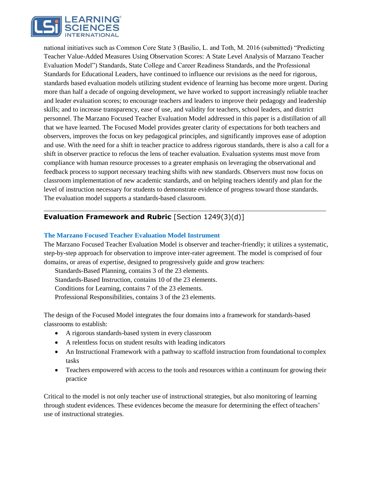

national initiatives such as Common Core State 3 (Basilio, L. and Toth, M. 2016 (submitted) "Predicting Teacher Value-Added Measures Using Observation Scores: A State Level Analysis of Marzano Teacher Evaluation Model") Standards, State College and Career Readiness Standards, and the Professional Standards for Educational Leaders, have continued to influence our revisions as the need for rigorous, standards based evaluation models utilizing student evidence of learning has become more urgent. During more than half a decade of ongoing development, we have worked to support increasingly reliable teacher and leader evaluation scores; to encourage teachers and leaders to improve their pedagogy and leadership skills; and to increase transparency, ease of use, and validity for teachers, school leaders, and district personnel. The Marzano Focused Teacher Evaluation Model addressed in this paper is a distillation of all that we have learned. The Focused Model provides greater clarity of expectations for both teachers and observers, improves the focus on key pedagogical principles, and significantly improves ease of adoption and use. With the need for a shift in teacher practice to address rigorous standards, there is also a call for a shift in observer practice to refocus the lens of teacher evaluation. Evaluation systems must move from compliance with human resource processes to a greater emphasis on leveraging the observational and feedback process to support necessary teaching shifts with new standards. Observers must now focus on classroom implementation of new academic standards, and on helping teachers identify and plan for the level of instruction necessary for students to demonstrate evidence of progress toward those standards. The evaluation model supports a standards-based classroom.

# **Evaluation Framework and Rubric** [Section 1249(3)(d)]

#### **The Marzano Focused Teacher Evaluation Model Instrument**

The Marzano Focused Teacher Evaluation Model is observer and teacher-friendly; it utilizes a systematic, step-by-step approach for observation to improve inter-rater agreement. The model is comprised of four domains, or areas of expertise, designed to progressively guide and grow teachers:

Standards-Based Planning, contains 3 of the 23 elements.

Standards-Based Instruction, contains 10 of the 23 elements.

Conditions for Learning, contains 7 of the 23 elements.

Professional Responsibilities, contains 3 of the 23 elements.

The design of the Focused Model integrates the four domains into a framework for standards-based classrooms to establish:

- A rigorous standards-based system in every classroom
- A relentless focus on student results with leading indicators
- An Instructional Framework with a pathway to scaffold instruction from foundational to complex tasks
- Teachers empowered with access to the tools and resources within a continuum for growing their practice

Critical to the model is not only teacher use of instructional strategies, but also monitoring of learning through student evidences. These evidences become the measure for determining the effect ofteachers' use of instructional strategies.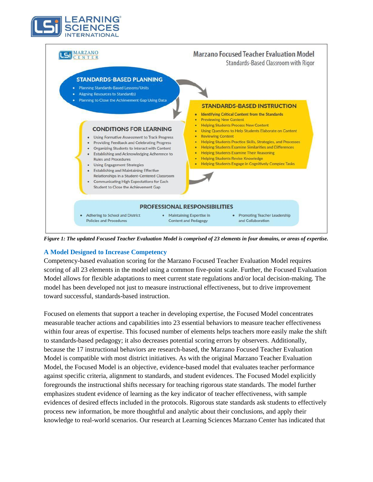



*Figure 1: The updated Focused Teacher Evaluation Model is comprised of 23 elements in four domains, or areas of expertise.*

#### **A Model Designed to Increase Competency**

Competency-based evaluation scoring for the Marzano Focused Teacher Evaluation Model requires scoring of all 23 elements in the model using a common five-point scale. Further, the Focused Evaluation Model allows for flexible adaptations to meet current state regulations and/or local decision-making. The model has been developed not just to measure instructional effectiveness, but to drive improvement toward successful, standards-based instruction.

Focused on elements that support a teacher in developing expertise, the Focused Model concentrates measurable teacher actions and capabilities into 23 essential behaviors to measure teacher effectiveness within four areas of expertise. This focused number of elements helps teachers more easily make the shift to standards-based pedagogy; it also decreases potential scoring errors by observers. Additionally, because the 17 instructional behaviors are research-based, the Marzano Focused Teacher Evaluation Model is compatible with most district initiatives. As with the original Marzano Teacher Evaluation Model, the Focused Model is an objective, evidence-based model that evaluates teacher performance against specific criteria, alignment to standards, and student evidences. The Focused Model explicitly foregrounds the instructional shifts necessary for teaching rigorous state standards. The model further emphasizes student evidence of learning as the key indicator of teacher effectiveness, with sample evidences of desired effects included in the protocols. Rigorous state standards ask students to effectively process new information, be more thoughtful and analytic about their conclusions, and apply their knowledge to real-world scenarios. Our research at Learning Sciences Marzano Center has indicated that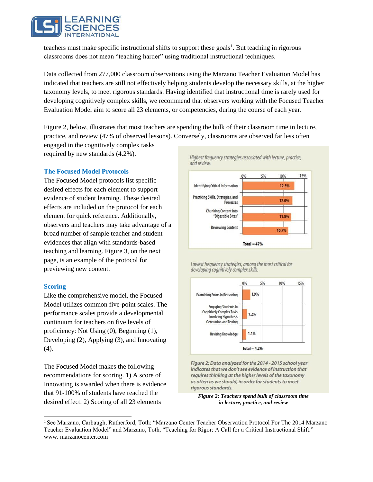

teachers must make specific instructional shifts to support these goals<sup>1</sup>. But teaching in rigorous classrooms does not mean "teaching harder" using traditional instructional techniques.

Data collected from 277,000 classroom observations using the Marzano Teacher Evaluation Model has indicated that teachers are still not effectively helping students develop the necessary skills, at the higher taxonomy levels, to meet rigorous standards. Having identified that instructional time is rarely used for developing cognitively complex skills, we recommend that observers working with the Focused Teacher Evaluation Model aim to score all 23 elements, or competencies, during the course of each year.

Figure 2, below, illustrates that most teachers are spending the bulk of their classroom time in lecture, practice, and review (47% of observed lessons). Conversely, classrooms are observed far less often

engaged in the cognitively complex tasks required by new standards (4.2%).

#### **The Focused Model Protocols**

The Focused Model protocols list specific desired effects for each element to support evidence of student learning. These desired effects are included on the protocol for each element for quick reference. Additionally, observers and teachers may take advantage of a broad number of sample teacher and student evidences that align with standards-based teaching and learning. Figure 3, on the next page, is an example of the protocol for previewing new content.

#### **Scoring**

Like the comprehensive model, the Focused Model utilizes common five-point scales. The performance scales provide a developmental continuum for teachers on five levels of proficiency: Not Using (0), Beginning (1), Developing (2), Applying (3), and Innovating (4).

The Focused Model makes the following recommendations for scoring. 1) A score of Innovating is awarded when there is evidence that 91-100% of students have reached the desired effect. 2) Scoring of all 23 elements



Lowest frequency strategies, among the most critical for developing cognitively complex skills.



Figure 2: Data analyzed for the 2014 - 2015 school year indicates that we don't see evidence of instruction that requires thinking at the higher levels of the taxonomy as often as we should, in order for students to meet rigorous standards.

*Figure 2: Teachers spend bulk of classroom time in lecture, practice, and review* 

<sup>&</sup>lt;sup>1</sup> See Marzano, Carbaugh, Rutherford, Toth: "Marzano Center Teacher Observation Protocol For The 2014 Marzano Teacher Evaluation Model" and Marzano, Toth, "Teaching for Rigor: A Call for a Critical Instructional Shift." [www. m](http://www/)arzanocenter.com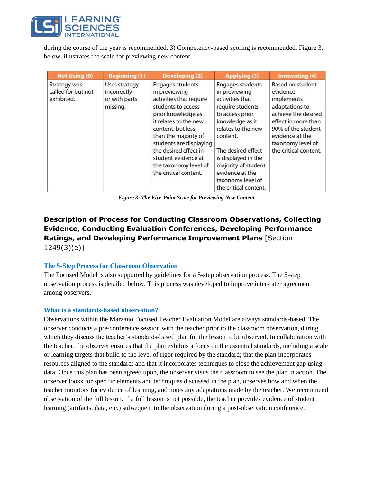

during the course of the year is recommended. 3) Competency-based scoring is recommended. Figure 3, below, illustrates the scale for previewing new content.

| Not Using (0)                                    | <b>Beginning (1)</b>                                             | <b>Developing (2)</b>                                                                                                                                                                                                                                                                                              | <b>Applying (3)</b>                                                                                                                                                                                                                                                                          | Innovating (4)                                                                                                                                                                                            |
|--------------------------------------------------|------------------------------------------------------------------|--------------------------------------------------------------------------------------------------------------------------------------------------------------------------------------------------------------------------------------------------------------------------------------------------------------------|----------------------------------------------------------------------------------------------------------------------------------------------------------------------------------------------------------------------------------------------------------------------------------------------|-----------------------------------------------------------------------------------------------------------------------------------------------------------------------------------------------------------|
| Strategy was<br>called for but not<br>exhibited. | <b>Uses strategy</b><br>incorrectly<br>or with parts<br>missing. | <b>Engages students</b><br>in previewing<br>activities that require<br>students to access<br>prior knowledge as<br>it relates to the new<br>content, but less<br>than the majority of<br>students are displaying<br>the desired effect in<br>student evidence at<br>the taxonomy level of<br>the critical content. | <b>Engages students</b><br>in previewing<br>activities that<br>require students<br>to access prior<br>knowledge as it<br>relates to the new<br>content.<br>The desired effect<br>is displayed in the<br>majority of student<br>evidence at the<br>taxonomy level of<br>the critical content. | <b>Based on student</b><br>evidence,<br>implements<br>adaptations to<br>achieve the desired<br>effect in more than<br>90% of the student<br>evidence at the<br>taxonomy level of<br>the critical content. |

*Figure 3: The Five-Point Scale for Previewing New Content*

# **Description of Process for Conducting Classroom Observations, Collecting Evidence, Conducting Evaluation Conferences, Developing Performance Ratings, and Developing Performance Improvement Plans** [Section 1249(3)(e)]

#### **The 5-Step Process for Classroom Observation**

The Focused Model is also supported by guidelines for a 5-step observation process. The 5-step observation process is detailed below. This process was developed to improve inter-rater agreement among observers.

#### **What is a standards-based observation?**

Observations within the Marzano Focused Teacher Evaluation Model are always standards-based. The observer conducts a pre-conference session with the teacher prior to the classroom observation, during which they discuss the teacher's standards-based plan for the lesson to be observed. In collaboration with the teacher, the observer ensures that the plan exhibits a focus on the essential standards, including a scale or learning targets that build to the level of rigor required by the standard; that the plan incorporates resources aligned to the standard; and that it incorporates techniques to close the achievement gap using data. Once this plan has been agreed upon, the observer visits the classroom to see the plan in action. The observer looks for specific elements and techniques discussed in the plan, observes how and when the teacher monitors for evidence of learning, and notes any adaptations made by the teacher. We recommend observation of the full lesson. If a full lesson is not possible, the teacher provides evidence of student learning (artifacts, data, etc.) subsequent to the observation during a post-observation conference.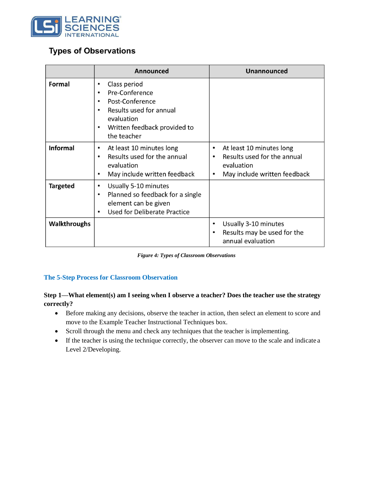

# **Types of Observations**

|                     | Announced                                                                                                                                                                                                  | <b>Unannounced</b>                                                                                                              |  |
|---------------------|------------------------------------------------------------------------------------------------------------------------------------------------------------------------------------------------------------|---------------------------------------------------------------------------------------------------------------------------------|--|
| Formal              | Class period<br>$\bullet$<br>Pre-Conference<br>$\bullet$<br>Post-Conference<br>$\bullet$<br>Results used for annual<br>$\bullet$<br>evaluation<br>Written feedback provided to<br>$\bullet$<br>the teacher |                                                                                                                                 |  |
| <b>Informal</b>     | At least 10 minutes long<br>$\bullet$<br>Results used for the annual<br>$\bullet$<br>evaluation<br>May include written feedback<br>$\bullet$                                                               | At least 10 minutes long<br>$\bullet$<br>Results used for the annual<br>evaluation<br>May include written feedback<br>$\bullet$ |  |
| <b>Targeted</b>     | Usually 5-10 minutes<br>$\bullet$<br>Planned so feedback for a single<br>$\bullet$<br>element can be given<br><b>Used for Deliberate Practice</b><br>$\bullet$                                             |                                                                                                                                 |  |
| <b>Walkthroughs</b> |                                                                                                                                                                                                            | Usually 3-10 minutes<br>Results may be used for the<br>annual evaluation                                                        |  |

*Figure 4: Types of Classroom Observations*

## **The 5-Step Process for Classroom Observation**

# **Step 1—What element(s) am I seeing when I observe a teacher? Does the teacher use the strategy correctly?**

- Before making any decisions, observe the teacher in action, then select an element to score and move to the Example Teacher Instructional Techniques box.
- Scroll through the menu and check any techniques that the teacher is implementing.
- If the teacher is using the technique correctly, the observer can move to the scale and indicate a Level 2/Developing.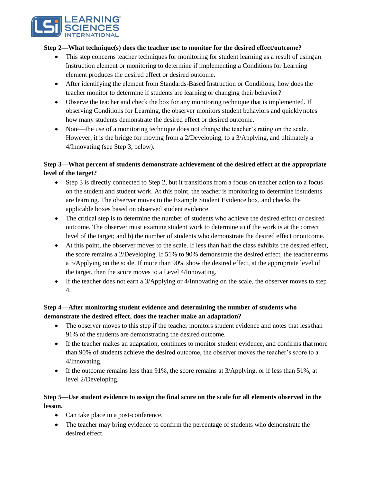

#### **Step 2—What technique(s) does the teacher use to monitor for the desired effect/outcome?**

- This step concerns teacher techniques for monitoring for student learning as a result of using an Instruction element or monitoring to determine if implementing a Conditions for Learning element produces the desired effect or desired outcome.
- After identifying the element from Standards-Based Instruction or Conditions, how does the teacher monitor to determine if students are learning or changing their behavior?
- Observe the teacher and check the box for any monitoring technique that is implemented. If observing Conditions for Learning, the observer monitors student behaviors and quicklynotes how many students demonstrate the desired effect or desired outcome.
- Note—the use of a monitoring technique does not change the teacher's rating on the scale. However, it is the bridge for moving from a 2/Developing, to a 3/Applying, and ultimately a 4/Innovating (see Step 3, below).

# **Step 3—What percent of students demonstrate achievement of the desired effect at the appropriate level of the target?**

- Step 3 is directly connected to Step 2, but it transitions from a focus on teacher action to a focus on the student and student work. At this point, the teacher is monitoring to determine ifstudents are learning. The observer moves to the Example Student Evidence box, and checks the applicable boxes based on observed student evidence.
- The critical step is to determine the number of students who achieve the desired effect or desired outcome. The observer must examine student work to determine a) if the work is at the correct level of the target; and b) the number of students who demonstrate the desired effect or outcome.
- At this point, the observer moves to the scale. If less than half the class exhibits the desired effect, the score remains a 2/Developing. If 51% to 90% demonstrate the desired effect, the teacher earns a 3/Applying on the scale. If more than 90% show the desired effect, at the appropriate level of the target, then the score moves to a Level 4/Innovating.
- If the teacher does not earn a 3/Applying or 4/Innovating on the scale, the observer moves to step 4.

# **Step 4—After monitoring student evidence and determining the number of students who demonstrate the desired effect, does the teacher make an adaptation?**

- The observer moves to this step if the teacher monitors student evidence and notes that less than 91% of the students are demonstrating the desired outcome.
- If the teacher makes an adaptation, continues to monitor student evidence, and confirms that more than 90% of students achieve the desired outcome, the observer moves the teacher's score to a 4/Innovating.
- If the outcome remains less than 91%, the score remains at 3/Applying, or if less than 51%, at level 2/Developing.

# **Step 5—Use student evidence to assign the final score on the scale for all elements observed in the lesson.**

- Can take place in a post-conference.
- The teacher may bring evidence to confirm the percentage of students who demonstrate the desired effect.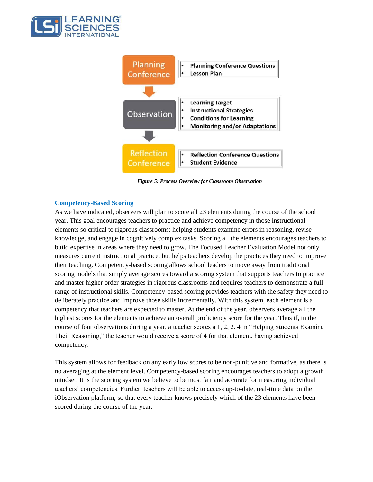



*Figure 5: Process Overview for Classroom Observation*

#### **Competency-Based Scoring**

As we have indicated, observers will plan to score all 23 elements during the course of the school year. This goal encourages teachers to practice and achieve competency in those instructional elements so critical to rigorous classrooms: helping students examine errors in reasoning, revise knowledge, and engage in cognitively complex tasks. Scoring all the elements encourages teachers to build expertise in areas where they need to grow. The Focused Teacher Evaluation Model not only measures current instructional practice, but helps teachers develop the practices they need to improve their teaching. Competency-based scoring allows school leaders to move away from traditional scoring models that simply average scores toward a scoring system that supports teachers to practice and master higher order strategies in rigorous classrooms and requires teachers to demonstrate a full range of instructional skills. Competency-based scoring provides teachers with the safety they need to deliberately practice and improve those skills incrementally. With this system, each element is a competency that teachers are expected to master. At the end of the year, observers average all the highest scores for the elements to achieve an overall proficiency score for the year. Thus if, in the course of four observations during a year, a teacher scores a 1, 2, 2, 4 in "Helping Students Examine Their Reasoning," the teacher would receive a score of 4 for that element, having achieved competency.

This system allows for feedback on any early low scores to be non-punitive and formative, as there is no averaging at the element level. Competency-based scoring encourages teachers to adopt a growth mindset. It is the scoring system we believe to be most fair and accurate for measuring individual teachers' competencies. Further, teachers will be able to access up-to-date, real-time data on the iObservation platform, so that every teacher knows precisely which of the 23 elements have been scored during the course of the year.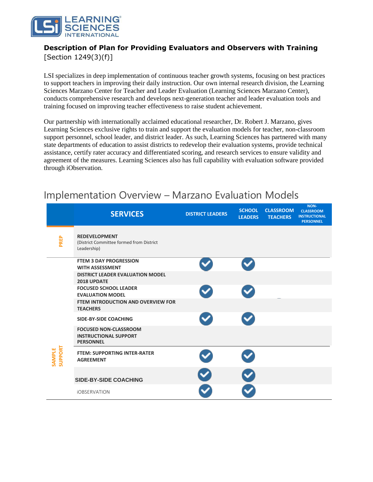

# **Description of Plan for Providing Evaluators and Observers with Training**

[Section 1249(3)(f)]

LSI specializes in deep implementation of continuous teacher growth systems, focusing on best practices to support teachers in improving their daily instruction. Our own internal research division, the Learning Sciences Marzano Center for Teacher and Leader Evaluation (Learning Sciences Marzano Center), conducts comprehensive research and develops next-generation teacher and leader evaluation tools and training focused on improving teacher effectiveness to raise student achievement.

Our partnership with internationally acclaimed educational researcher, Dr. Robert J. Marzano, gives Learning Sciences exclusive rights to train and support the evaluation models for teacher, non-classroom support personnel, school leader, and district leader. As such, Learning Sciences has partnered with many state departments of education to assist districts to redevelop their evaluation systems, provide technical assistance, certify rater accuracy and differentiated scoring, and research services to ensure validity and agreement of the measures. Learning Sciences also has full capability with evaluation software provided through iObservation.

#### **SERVICES DISTRICT LEADERS SCHOOL LEADERS CLASSROOM TEACHERS NON-CLASSROOM INSTRUCTIONAL PERSONNEL PREP REDEVELOPMENT** (District Committee formed from District Leadership) **FTEM 3 DAY PROGRESSION WITH ASSESSMENT DISTRICT LEADER EVALUATION MODEL 2018 UPDATE FOCUSED SCHOOL LEADER EVALUATION MODEL FTEM INTRODUCTION AND OVERVIEW FOR TEACHERS SIDE-BY-SIDE COACHING FOCUSED NON-CLASSROOM INSTRUCTIONAL SUPPORT PERSONNEL SAMPLE SUPPORT FTEM: SUPPORTING INTER-RATER AGREEMENT SIDE-BY-SIDE COACHING**  iOBSERVATION

# Implementation Overview – Marzano Evaluation Models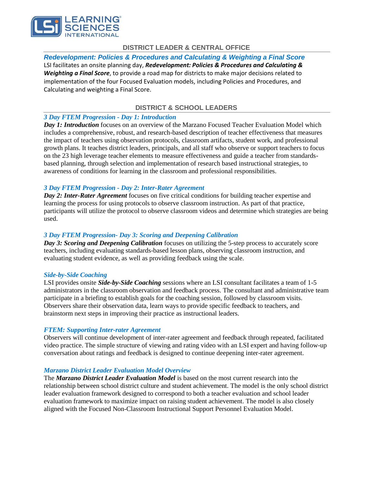

## **DISTRICT LEADER & CENTRAL OFFICE**

*Redevelopment: Policies & Procedures and Calculating & Weighting a Final Score*  LSI facilitates an onsite planning day, *Redevelopment: Policies & Procedures and Calculating & Weighting a Final Score*, to provide a road map for districts to make major decisions related to implementation of the four Focused Evaluation models, including Policies and Procedures, and Calculating and weighting a Final Score.

## **DISTRICT & SCHOOL LEADERS**

#### *3 Day FTEM Progression - Day 1: Introduction*

*Day 1: Introduction* focuses on an overview of the Marzano Focused Teacher Evaluation Model which includes a comprehensive, robust, and research-based description of teacher effectiveness that measures the impact of teachers using observation protocols, classroom artifacts, student work, and professional growth plans. It teaches district leaders, principals, and all staff who observe or support teachers to focus on the 23 high leverage teacher elements to measure effectiveness and guide a teacher from standardsbased planning, through selection and implementation of research based instructional strategies, to awareness of conditions for learning in the classroom and professional responsibilities.

#### *3 Day FTEM Progression - Day 2: Inter-Rater Agreement*

*Day 2: Inter-Rater Agreement* focuses on five critical conditions for building teacher expertise and learning the process for using protocols to observe classroom instruction. As part of that practice, participants will utilize the protocol to observe classroom videos and determine which strategies are being used.

#### *3 Day FTEM Progression- Day 3: Scoring and Deepening Calibration*

*Day 3: Scoring and Deepening Calibration* focuses on utilizing the 5-step process to accurately score teachers, including evaluating standards-based lesson plans, observing classroom instruction, and evaluating student evidence, as well as providing feedback using the scale.

#### *Side-by-Side Coaching*

LSI provides onsite *Side-by-Side Coaching* sessions where an LSI consultant facilitates a team of 1-5 administrators in the classroom observation and feedback process. The consultant and administrative team participate in a briefing to establish goals for the coaching session, followed by classroom visits. Observers share their observation data, learn ways to provide specific feedback to teachers, and brainstorm next steps in improving their practice as instructional leaders.

#### *FTEM: Supporting Inter-rater Agreement*

Observers will continue development of inter-rater agreement and feedback through repeated, facilitated video practice. The simple structure of viewing and rating video with an LSI expert and having follow-up conversation about ratings and feedback is designed to continue deepening inter-rater agreement.

#### *Marzano District Leader Evaluation Model Overview*

The *Marzano District Leader Evaluation Model* is based on the most current research into the relationship between school district culture and student achievement. The model is the only school district leader evaluation framework designed to correspond to both a teacher evaluation and school leader evaluation framework to maximize impact on raising student achievement. The model is also closely aligned with the Focused Non-Classroom Instructional Support Personnel Evaluation Model.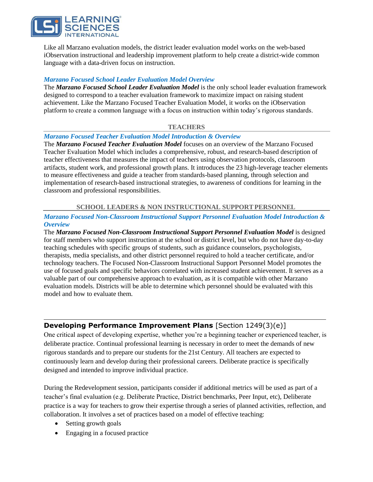

Like all Marzano evaluation models, the district leader evaluation model works on the web-based iObservation instructional and leadership improvement platform to help create a district-wide common language with a data-driven focus on instruction.

#### *Marzano Focused School Leader Evaluation Model Overview*

The *Marzano Focused School Leader Evaluation Model* is the only school leader evaluation framework designed to correspond to a teacher evaluation framework to maximize impact on raising student achievement. Like the Marzano Focused Teacher Evaluation Model, it works on the iObservation platform to create a common language with a focus on instruction within today's rigorous standards.

#### **TEACHERS**

#### *Marzano Focused Teacher Evaluation Model Introduction & Overview*

The *Marzano Focused Teacher Evaluation Model* focuses on an overview of the Marzano Focused Teacher Evaluation Model which includes a comprehensive, robust, and research-based description of teacher effectiveness that measures the impact of teachers using observation protocols, classroom artifacts, student work, and professional growth plans. It introduces the 23 high-leverage teacher elements to measure effectiveness and guide a teacher from standards-based planning, through selection and implementation of research-based instructional strategies, to awareness of conditions for learning in the classroom and professional responsibilities.

#### **SCHOOL LEADERS & NON INSTRUCTIONAL SUPPORTPERSONNEL**

#### *Marzano Focused Non-Classroom Instructional Support Personnel Evaluation Model Introduction & Overview*

The *Marzano Focused Non-Classroom Instructional Support Personnel Evaluation Model* is designed for staff members who support instruction at the school or district level, but who do not have day-to-day teaching schedules with specific groups of students, such as guidance counselors, psychologists, therapists, media specialists, and other district personnel required to hold a teacher certificate, and/or technology teachers. The Focused Non-Classroom Instructional Support Personnel Model promotes the use of focused goals and specific behaviors correlated with increased student achievement. It serves as a valuable part of our comprehensive approach to evaluation, as it is compatible with other Marzano evaluation models. Districts will be able to determine which personnel should be evaluated with this model and how to evaluate them.

## **Developing Performance Improvement Plans** [Section 1249(3)(e)]

One critical aspect of developing expertise, whether you're a beginning teacher or experienced teacher, is deliberate practice. Continual professional learning is necessary in order to meet the demands of new rigorous standards and to prepare our students for the 21st Century. All teachers are expected to continuously learn and develop during their professional careers. Deliberate practice is specifically designed and intended to improve individual practice.

During the Redevelopment session, participants consider if additional metrics will be used as part of a teacher's final evaluation (e.g. Deliberate Practice, District benchmarks, Peer Input, etc), Deliberate practice is a way for teachers to grow their expertise through a series of planned activities, reflection, and collaboration. It involves a set of practices based on a model of effective teaching:

- Setting growth goals
- Engaging in a focused practice